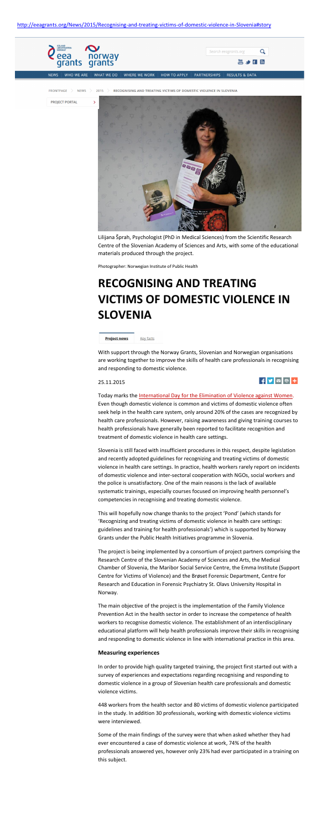Lilijana Šprah, Psychologist (PhD in Medical Sciences) from the Scientific Research Centre of the Slovenian Academy of Sciences and Arts, with some of the educational materials produced through the project.

Photographer: Norwegian Institute of Public Health

# **RECOGNISING AND TREATING VICTIMS OF DOMESTIC VIOLENCE IN SLOVENIA**

Key facts **Project news** 

With support through the Norway Grants, Slovenian and Norwegian organisations are working together to improve the skills of health care professionals in recognising and responding to domestic violence.

25.11.2015



Today marks the [International Day for the Elimination of Violence against Women.](http://www.un.org/en/events/endviolenceday/) Even though domestic violence is common and victims of domestic violence often seek help in the health care system, only around 20% of the cases are recognized by health care professionals. However, raising awareness and giving training courses to health professionals have generally been reported to facilitate recognition and treatment of domestic violence in health care settings.

Slovenia is still faced with insufficient procedures in this respect, despite legislation and recently adopted guidelines for recognizing and treating victims of domestic violence in health care settings. In practice, health workers rarely report on incidents of domestic violence and inter-sectoral cooperation with NGOs, social workers and

the police is unsatisfactory. One of the main reasons is the lack of available systematic trainings, especially courses focused on improving health personnel's competencies in recognising and treating domestic violence.

This will hopefully now change thanks to the project 'Pond' (which stands for 'Recognizing and treating victims of domestic violence in health care settings: guidelines and training for health professionals') which is supported by Norway Grants under the Public Health Initiatives programme in Slovenia.

The project is being implemented by a consortium of project partners comprising the Research Centre of the Slovenian Academy of Sciences and Arts, the Medical Chamber of Slovenia, the Maribor Social Service Centre, the Emma Institute (Support Centre for Victims of Violence) and the Brøset Forensic Department, Centre for Research and Education in Forensic Psychiatry St. Olavs University Hospital in Norway.

The main objective of the project is the implementation of the Family Violence Prevention Act in the health sector in order to increase the competence of health workers to recognise domestic violence. The establishment of an interdisciplinary educational platform will help health professionals improve their skills in recognising and responding to domestic violence in line with international practice in this area.

#### **Measuring experiences**

In order to provide high quality targeted training, the project first started out with a survey of experiences and expectations regarding recognising and responding to domestic violence in a group of Slovenian health care professionals and domestic violence victims.

448 workers from the health sector and 80 victims of domestic violence participated in the study. In addition 30 professionals, working with domestic violence victims were interviewed.

Some of the main findings of the survey were that when asked whether they had ever encountered a case of domestic violence at work, 74% of the health professionals answered yes, however only 23% had ever participated in a training on this subject.